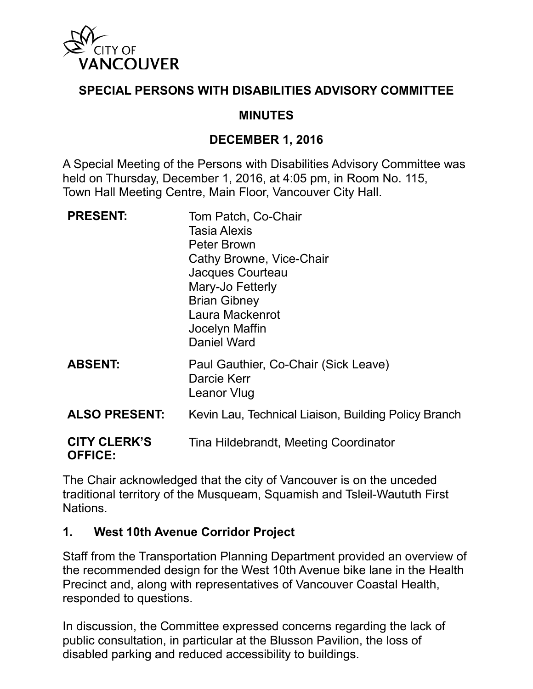

## **SPECIAL PERSONS WITH DISABILITIES ADVISORY COMMITTEE**

# **MINUTES**

## **DECEMBER 1, 2016**

A Special Meeting of the Persons with Disabilities Advisory Committee was held on Thursday, December 1, 2016, at 4:05 pm, in Room No. 115, Town Hall Meeting Centre, Main Floor, Vancouver City Hall.

| <b>PRESENT:</b>                       | Tom Patch, Co-Chair<br><b>Tasia Alexis</b><br>Peter Brown<br>Cathy Browne, Vice-Chair<br>Jacques Courteau<br>Mary-Jo Fetterly<br><b>Brian Gibney</b><br>Laura Mackenrot<br>Jocelyn Maffin<br>Daniel Ward |
|---------------------------------------|----------------------------------------------------------------------------------------------------------------------------------------------------------------------------------------------------------|
| <b>ABSENT:</b>                        | Paul Gauthier, Co-Chair (Sick Leave)<br>Darcie Kerr<br>Leanor Vlug                                                                                                                                       |
| <b>ALSO PRESENT:</b>                  | Kevin Lau, Technical Liaison, Building Policy Branch                                                                                                                                                     |
| <b>CITY CLERK'S</b><br><b>OFFICE:</b> | Tina Hildebrandt, Meeting Coordinator                                                                                                                                                                    |

The Chair acknowledged that the city of Vancouver is on the unceded traditional territory of the Musqueam, Squamish and Tsleil-Waututh First Nations.

#### **1. West 10th Avenue Corridor Project**

Staff from the Transportation Planning Department provided an overview of the recommended design for the West 10th Avenue bike lane in the Health Precinct and, along with representatives of Vancouver Coastal Health, responded to questions.

In discussion, the Committee expressed concerns regarding the lack of public consultation, in particular at the Blusson Pavilion, the loss of disabled parking and reduced accessibility to buildings.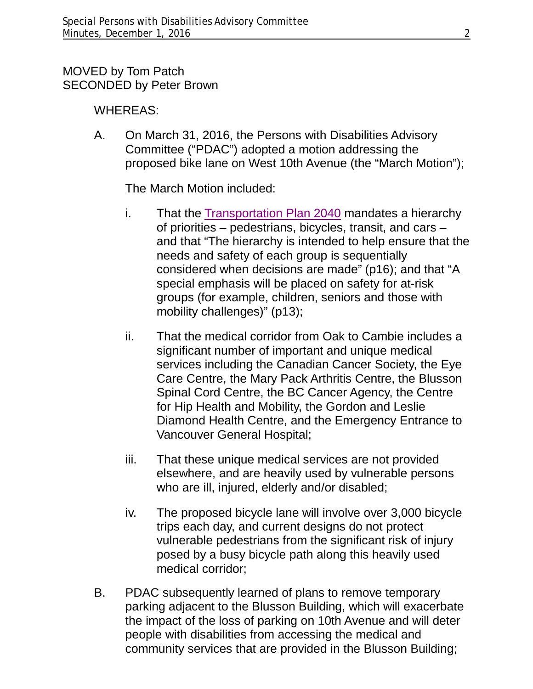## MOVED by Tom Patch SECONDED by Peter Brown

## WHEREAS:

A. On March 31, 2016, the Persons with Disabilities Advisory Committee ("PDAC") adopted a motion addressing the proposed bike lane on West 10th Avenue (the "March Motion");

The March Motion included:

- i. That the [Transportation Plan 2040](http://vancouver.ca/files/cov/Transportation_2040_Plan_as_adopted_by_Council.pdf) mandates a hierarchy of priorities – pedestrians, bicycles, transit, and cars – and that "The hierarchy is intended to help ensure that the needs and safety of each group is sequentially considered when decisions are made" (p16); and that "A special emphasis will be placed on safety for at-risk groups (for example, children, seniors and those with mobility challenges)" (p13);
- ii. That the medical corridor from Oak to Cambie includes a significant number of important and unique medical services including the Canadian Cancer Society, the Eye Care Centre, the Mary Pack Arthritis Centre, the Blusson Spinal Cord Centre, the BC Cancer Agency, the Centre for Hip Health and Mobility, the Gordon and Leslie Diamond Health Centre, and the Emergency Entrance to Vancouver General Hospital;
- iii. That these unique medical services are not provided elsewhere, and are heavily used by vulnerable persons who are ill, injured, elderly and/or disabled;
- iv. The proposed bicycle lane will involve over 3,000 bicycle trips each day, and current designs do not protect vulnerable pedestrians from the significant risk of injury posed by a busy bicycle path along this heavily used medical corridor;
- B. PDAC subsequently learned of plans to remove temporary parking adjacent to the Blusson Building, which will exacerbate the impact of the loss of parking on 10th Avenue and will deter people with disabilities from accessing the medical and community services that are provided in the Blusson Building;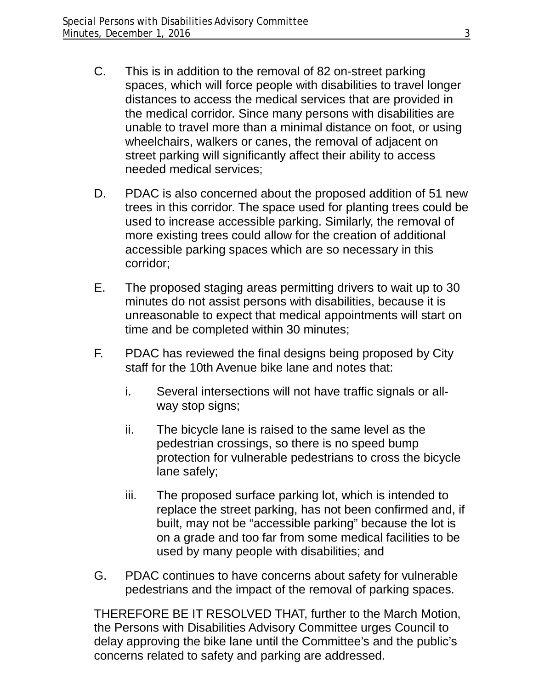- C. This is in addition to the removal of 82 on-street parking spaces, which will force people with disabilities to travel longer distances to access the medical services that are provided in the medical corridor. Since many persons with disabilities are unable to travel more than a minimal distance on foot, or using wheelchairs, walkers or canes, the removal of adjacent on street parking will significantly affect their ability to access needed medical services;
- D. PDAC is also concerned about the proposed addition of 51 new trees in this corridor. The space used for planting trees could be used to increase accessible parking. Similarly, the removal of more existing trees could allow for the creation of additional accessible parking spaces which are so necessary in this corridor;
- E. The proposed staging areas permitting drivers to wait up to 30 minutes do not assist persons with disabilities, because it is unreasonable to expect that medical appointments will start on time and be completed within 30 minutes;
- F. PDAC has reviewed the final designs being proposed by City staff for the 10th Avenue bike lane and notes that:
	- i. Several intersections will not have traffic signals or allway stop signs;
	- ii. The bicycle lane is raised to the same level as the pedestrian crossings, so there is no speed bump protection for vulnerable pedestrians to cross the bicycle lane safely;
	- iii. The proposed surface parking lot, which is intended to replace the street parking, has not been confirmed and, if built, may not be "accessible parking" because the lot is on a grade and too far from some medical facilities to be used by many people with disabilities; and
- G. PDAC continues to have concerns about safety for vulnerable pedestrians and the impact of the removal of parking spaces.

THEREFORE BE IT RESOLVED THAT, further to the March Motion, the Persons with Disabilities Advisory Committee urges Council to delay approving the bike lane until the Committee's and the public's concerns related to safety and parking are addressed.